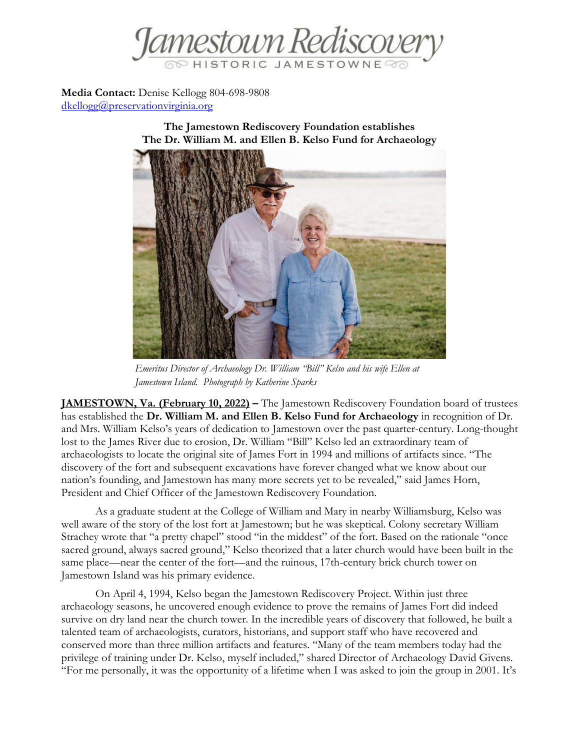

**Media Contact:** Denise Kellogg 804-698-9808 [dkellogg@preservationvirginia.org](mailto:dkellogg@preservationvirginia.org)

> **The Jamestown Rediscovery Foundation establishes The Dr. William M. and Ellen B. Kelso Fund for Archaeology**



*Emeritus Director of Archaeology Dr. William "Bill" Kelso and his wife Ellen at Jamestown Island. Photograph by Katherine Sparks*

**JAMESTOWN, Va. (February 10, 2022) –** The Jamestown Rediscovery Foundation board of trustees has established the **Dr. William M. and Ellen B. Kelso Fund for Archaeology** in recognition of Dr. and Mrs. William Kelso's years of dedication to Jamestown over the past quarter-century. Long-thought lost to the James River due to erosion, Dr. William "Bill" Kelso led an extraordinary team of archaeologists to locate the original site of James Fort in 1994 and millions of artifacts since. "The discovery of the fort and subsequent excavations have forever changed what we know about our nation's founding, and Jamestown has many more secrets yet to be revealed," said James Horn, President and Chief Officer of the Jamestown Rediscovery Foundation.

As a graduate student at the College of William and Mary in nearby Williamsburg, Kelso was well aware of the story of the lost fort at Jamestown; but he was skeptical. Colony secretary William Strachey wrote that "a pretty chapel" stood "in the middest" of the fort. Based on the rationale "once sacred ground, always sacred ground," Kelso theorized that a later church would have been built in the same place—near the center of the fort—and the ruinous, 17th-century brick church tower on Jamestown Island was his primary evidence.

On April 4, 1994, Kelso began the Jamestown Rediscovery Project. Within just three archaeology seasons, he uncovered enough evidence to prove the remains of James Fort did indeed survive on dry land near the church tower. In the incredible years of discovery that followed, he built a talented team of archaeologists, curators, historians, and support staff who have recovered and conserved more than three million artifacts and features. "Many of the team members today had the privilege of training under Dr. Kelso, myself included," shared Director of Archaeology David Givens. "For me personally, it was the opportunity of a lifetime when I was asked to join the group in 2001. It's